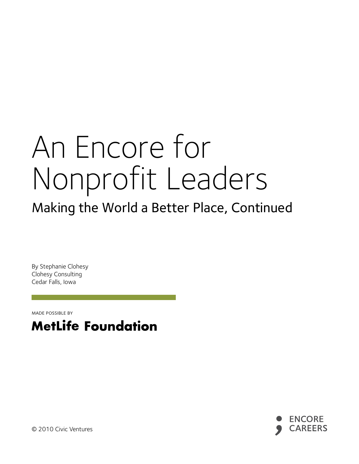# An Encore for Nonprofit Leaders

# Making the World a Better Place, Continued

By Stephanie Clohesy Clohesy Consulting Cedar Falls, Iowa

made possible by





© 2010 Civic Ventures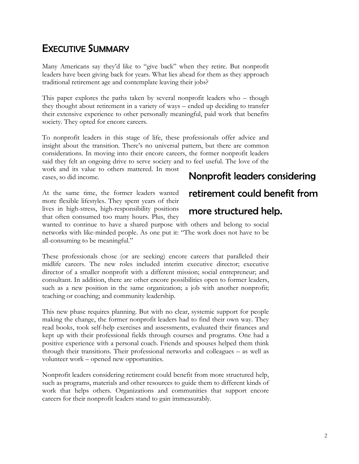# EXECUTIVE SUMMARY

Many Americans say they'd like to "give back" when they retire. But nonprofit leaders have been giving back for years. What lies ahead for them as they approach traditional retirement age and contemplate leaving their jobs?

This paper explores the paths taken by several nonprofit leaders who – though they thought about retirement in a variety of ways – ended up deciding to transfer their extensive experience to other personally meaningful, paid work that benefits society. They opted for encore careers.

To nonprofit leaders in this stage of life, these professionals offer advice and insight about the transition. There's no universal pattern, but there are common considerations. In moving into their encore careers, the former nonprofit leaders said they felt an ongoing drive to serve society and to feel useful. The love of the

work and its value to others mattered. In most cases, so did income.

# Nonprofit leaders considering

At the same time, the former leaders wanted more flexible lifestyles. They spent years of their lives in high-stress, high-responsibility positions that often consumed too many hours. Plus, they

# retirement could benefit from

#### more structured help.

wanted to continue to have a shared purpose with others and belong to social networks with like-minded people. As one put it: "The work does not have to be all-consuming to be meaningful."

These professionals chose (or are seeking) encore careers that paralleled their midlife careers. The new roles included interim executive director; executive director of a smaller nonprofit with a different mission; social entrepreneur; and consultant. In addition, there are other encore possibilities open to former leaders, such as a new position in the same organization; a job with another nonprofit; teaching or coaching; and community leadership.

This new phase requires planning. But with no clear, systemic support for people making the change, the former nonprofit leaders had to find their own way. They read books, took self-help exercises and assessments, evaluated their finances and kept up with their professional fields through courses and programs. One had a positive experience with a personal coach. Friends and spouses helped them think through their transitions. Their professional networks and colleagues – as well as volunteer work – opened new opportunities.

Nonprofit leaders considering retirement could benefit from more structured help, such as programs, materials and other resources to guide them to different kinds of work that helps others. Organizations and communities that support encore careers for their nonprofit leaders stand to gain immeasurably.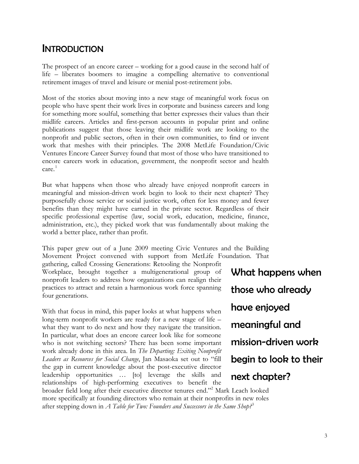## **INTRODUCTION**

The prospect of an encore career – working for a good cause in the second half of life – liberates boomers to imagine a compelling alternative to conventional retirement images of travel and leisure or menial post-retirement jobs.

Most of the stories about moving into a new stage of meaningful work focus on people who have spent their work lives in corporate and business careers and long for something more soulful, something that better expresses their values than their midlife careers. Articles and first-person accounts in popular print and online publications suggest that those leaving their midlife work are looking to the nonprofit and public sectors, often in their own communities, to find or invent work that meshes with their principles. The 2008 MetLife Foundation/Civic Ventures Encore Career Survey found that most of those who have transitioned to encore careers work in education, government, the nonprofit sector and health care.<sup>[1](#page-21-0)</sup>

But what happens when those who already have enjoyed nonprofit careers in meaningful and mission-driven work begin to look to their next chapter? They purposefully chose service or social justice work, often for less money and fewer benefits than they might have earned in the private sector. Regardless of their specific professional expertise (law, social work, education, medicine, finance, administration, etc.), they picked work that was fundamentally about making the world a better place, rather than profit.

This paper grew out of a June 2009 meeting Civic Ventures and the Building Movement Project convened with support from MetLife Foundation. That gathering, called Crossing Generations: Retooling the Nonprofit

Workplace, brought together a multigenerational group of nonprofit leaders to address how organizations can realign their practices to attract and retain a harmonious work force spanning four generations.

With that focus in mind, this paper looks at what happens when long-term nonprofit workers are ready for a new stage of life – what they want to do next and how they navigate the transition. In particular, what does an encore career look like for someone who is not switching sectors? There has been some important work already done in this area. In *The Departing: Exiting Nonprofit Leaders as Resources for Social Change*, Jan Masaoka set out to "fill the gap in current knowledge about the post-executive director leadership opportunities … [to] leverage the skills and relationships of high-performing executives to benefit the

What happens when those who already have enjoyed meaningful and mission-driven work begin to look to their next chapter?

broader field long after their executive director tenures end."2 Mark Leach looked more specifically at founding directors who remain at their nonprofits in new roles after stepping down in *A Table for Two: Founders and Successors in the Same Shop?*[3](#page-21-1)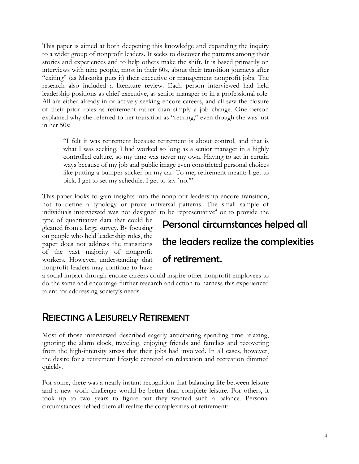This paper is aimed at both deepening this knowledge and expanding the inquiry to a wider group of nonprofit leaders. It seeks to discover the patterns among their stories and experiences and to help others make the shift. It is based primarily on interviews with nine people, most in their 60s, about their transition journeys after "exiting" (as Masaoka puts it) their executive or management nonprofit jobs. The research also included a literature review. Each person interviewed had held leadership positions as chief executive, as senior manager or in a professional role. All are either already in or actively seeking encore careers, and all saw the closure of their prior roles as retirement rather than simply a job change. One person explained why she referred to her transition as "retiring," even though she was just in her 50s:

"I felt it was retirement because retirement is about control, and that is what I was seeking. I had worked so long as a senior manager in a highly controlled culture, so my time was never my own. Having to act in certain ways because of my job and public image even constricted personal choices like putting a bumper sticker on my car. To me, retirement meant: I get to pick. I get to set my schedule. I get to say `no.'"

This paper looks to gain insights into the nonprofit leadership encore transition, not to define a typology or prove universal patterns. The small sample of individuals interviewed was not designed to be representative<sup>4</sup> or to provide the

type of quantitative data that could be gleaned from a large survey. By focusing on people who held leadership roles, the paper does not address the transitions of the vast majority of nonprofit workers. However, understanding that nonprofit leaders may continue to have

# Personal circumstances helped all the leaders realize the complexities of retirement.

a social impact through encore careers could inspire other nonprofit employees to do the same and encourage further research and action to harness this experienced talent for addressing society's needs.

### REJECTING A LEISURELY RETIREMENT

Most of those interviewed described eagerly anticipating spending time relaxing, ignoring the alarm clock, traveling, enjoying friends and families and recovering from the high-intensity stress that their jobs had involved. In all cases, however, the desire for a retirement lifestyle centered on relaxation and recreation dimmed quickly.

For some, there was a nearly instant recognition that balancing life between leisure and a new work challenge would be better than complete leisure. For others, it took up to two years to figure out they wanted such a balance. Personal circumstances helped them all realize the complexities of retirement: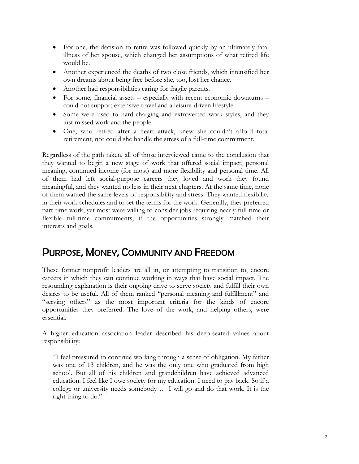- For one, the decision to retire was followed quickly by an ultimately fatal illness of her spouse, which changed her assumptions of what retired life would be.
- Another experienced the deaths of two close friends, which intensified her own dreams about being free before she, too, lost her chance.
- Another had responsibilities caring for fragile parents.
- For some, financial assets especially with recent economic downturns could not support extensive travel and a leisure-driven lifestyle.
- Some were used to hard-charging and extroverted work styles, and they just missed work and the people.
- One, who retired after a heart attack, knew she couldn't afford total retirement, nor could she handle the stress of a full-time commitment.

Regardless of the path taken, all of those interviewed came to the conclusion that they wanted to begin a new stage of work that offered social impact, personal meaning, continued income (for most) and more flexibility and personal time. All of them had left social-purpose careers they loved and work they found meaningful, and they wanted no less in their next chapters. At the same time, none of them wanted the same levels of responsibility and stress. They wanted flexibility in their work schedules and to set the terms for the work. Generally, they preferred part-time work, yet most were willing to consider jobs requiring nearly full-time or flexible full-time commitments, if the opportunities strongly matched their interests and goals.

## PURPOSE, MONEY, COMMUNITY AND FREEDOM

These former nonprofit leaders are all in, or attempting to transition to, encore careers in which they can continue working in ways that have social impact. The resounding explanation is their ongoing drive to serve society and fulfill their own desires to be useful. All of them ranked "personal meaning and fulfillment" and "serving others" as the most important criteria for the kinds of encore opportunities they preferred. The love of the work, and helping others, were essential.

A higher education association leader described his deep-seated values about responsibility:

"I feel pressured to continue working through a sense of obligation. My father was one of 13 children, and he was the only one who graduated from high school. But all of his children and grandchildren have achieved advanced education. I feel like I owe society for my education. I need to pay back. So if a college or university needs somebody … I will go and do that work. It is the right thing to do."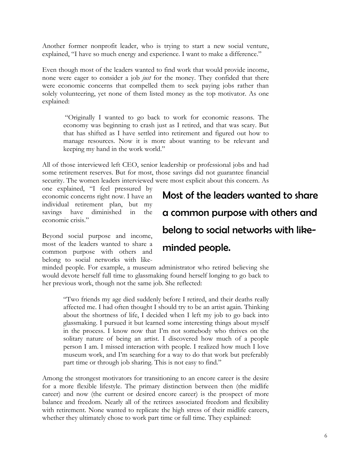Another former nonprofit leader, who is trying to start a new social venture, explained, "I have so much energy and experience. I want to make a difference."

Even though most of the leaders wanted to find work that would provide income, none were eager to consider a job *just* for the money. They confided that there were economic concerns that compelled them to seek paying jobs rather than solely volunteering, yet none of them listed money as the top motivator. As one explained:

 "Originally I wanted to go back to work for economic reasons. The economy was beginning to crash just as I retired, and that was scary. But that has shifted as I have settled into retirement and figured out how to manage resources. Now it is more about wanting to be relevant and keeping my hand in the work world."

All of those interviewed left CEO, senior leadership or professional jobs and had some retirement reserves. But for most, those savings did not guarantee financial security. The women leaders interviewed were most explicit about this concern. As

one explained, "I feel pressured by economic concerns right now. I have an individual retirement plan, but my savings have diminished in the economic crisis."

Beyond social purpose and income, most of the leaders wanted to share a common purpose with others and belong to social networks with like-

# Most of the leaders wanted to share a common purpose with others and belong to social networks with like-

#### minded people.

minded people. For example, a museum administrator who retired believing she would devote herself full time to glassmaking found herself longing to go back to her previous work, though not the same job. She reflected:

"Two friends my age died suddenly before I retired, and their deaths really affected me. I had often thought I should try to be an artist again. Thinking about the shortness of life, I decided when I left my job to go back into glassmaking. I pursued it but learned some interesting things about myself in the process. I know now that I'm not somebody who thrives on the solitary nature of being an artist. I discovered how much of a people person I am. I missed interaction with people. I realized how much I love museum work, and I'm searching for a way to do that work but preferably part time or through job sharing. This is not easy to find."

Among the strongest motivators for transitioning to an encore career is the desire for a more flexible lifestyle. The primary distinction between then (the midlife career) and now (the current or desired encore career) is the prospect of more balance and freedom. Nearly all of the retirees associated freedom and flexibility with retirement. None wanted to replicate the high stress of their midlife careers, whether they ultimately chose to work part time or full time. They explained: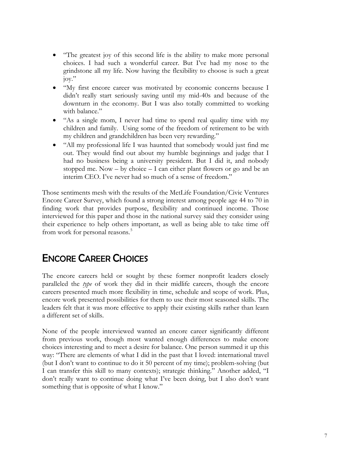- "The greatest joy of this second life is the ability to make more personal choices. I had such a wonderful career. But I've had my nose to the grindstone all my life. Now having the flexibility to choose is such a great joy."
- "My first encore career was motivated by economic concerns because I didn't really start seriously saving until my mid-40s and because of the downturn in the economy. But I was also totally committed to working with balance."
- "As a single mom, I never had time to spend real quality time with my children and family. Using some of the freedom of retirement to be with my children and grandchildren has been very rewarding."
- "All my professional life I was haunted that somebody would just find me out. They would find out about my humble beginnings and judge that I had no business being a university president. But I did it, and nobody stopped me. Now – by choice – I can either plant flowers or go and be an interim CEO. I've never had so much of a sense of freedom."

Those sentiments mesh with the results of the MetLife Foundation/Civic Ventures Encore Career Survey, which found a strong interest among people age 44 to 70 in finding work that provides purpose, flexibility and continued income. Those interviewed for this paper and those in the national survey said they consider using their experience to help others important, as well as being able to take time off from work for personal reasons.<sup>5</sup>

# ENCORE CAREER CHOICES

The encore careers held or sought by these former nonprofit leaders closely paralleled the *type* of work they did in their midlife careers, though the encore careers presented much more flexibility in time, schedule and scope of work. Plus, encore work presented possibilities for them to use their most seasoned skills. The leaders felt that it was more effective to apply their existing skills rather than learn a different set of skills.

None of the people interviewed wanted an encore career significantly different from previous work, though most wanted enough differences to make encore choices interesting and to meet a desire for balance. One person summed it up this way: "There are elements of what I did in the past that I loved: international travel (but I don't want to continue to do it 50 percent of my time); problem-solving (but I can transfer this skill to many contexts); strategic thinking." Another added, "I don't really want to continue doing what I've been doing, but I also don't want something that is opposite of what I know."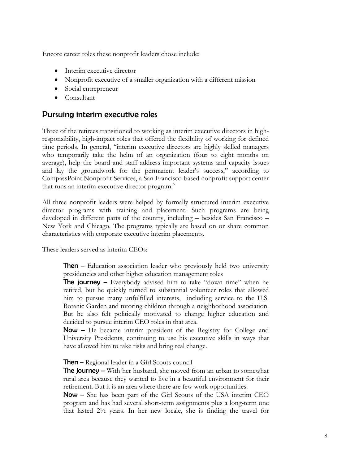Encore career roles these nonprofit leaders chose include:

- Interim executive director
- Nonprofit executive of a smaller organization with a different mission
- Social entrepreneur
- Consultant

#### Pursuing interim executive roles

Three of the retirees transitioned to working as interim executive directors in highresponsibility, high-impact roles that offered the flexibility of working for defined time periods. In general, "interim executive directors are highly skilled managers who temporarily take the helm of an organization (four to eight months on average), help the board and staff address important systems and capacity issues and lay the groundwork for the permanent leader's success," according to CompassPoint Nonprofit Services, a San Francisco-based nonprofit support center that runs an interim executive director program.<sup>6</sup>

All three nonprofit leaders were helped by formally structured interim executive director programs with training and placement. Such programs are being developed in different parts of the country, including – besides San Francisco – New York and Chicago. The programs typically are based on or share common characteristics with corporate executive interim placements.

These leaders served as interim CEOs:

Then **–** Education association leader who previously held two university presidencies and other higher education management roles

The journey **–** Everybody advised him to take "down time" when he retired, but he quickly turned to substantial volunteer roles that allowed him to pursue many unfulfilled interests, including service to the U.S. Botanic Garden and tutoring children through a neighborhood association. But he also felt politically motivated to change higher education and decided to pursue interim CEO roles in that area.

Now **–** He became interim president of the Registry for College and University Presidents, continuing to use his executive skills in ways that have allowed him to take risks and bring real change.

Then **–** Regional leader in a Girl Scouts council

The journey **–** With her husband, she moved from an urban to somewhat rural area because they wanted to live in a beautiful environment for their retirement. But it is an area where there are few work opportunities.

Now **–** She has been part of the Girl Scouts of the USA interim CEO program and has had several short-term assignments plus a long-term one that lasted 2½ years. In her new locale, she is finding the travel for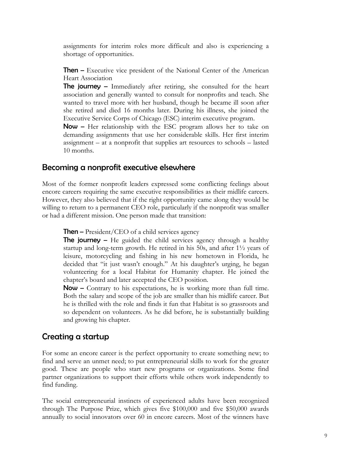assignments for interim roles more difficult and also is experiencing a shortage of opportunities.

**Then** – Executive vice president of the National Center of the American Heart Association

The journey **–** Immediately after retiring, she consulted for the heart association and generally wanted to consult for nonprofits and teach. She wanted to travel more with her husband, though he became ill soon after she retired and died 16 months later. During his illness, she joined the Executive Service Corps of Chicago (ESC) interim executive program.

Now **–** Her relationship with the ESC program allows her to take on demanding assignments that use her considerable skills. Her first interim assignment – at a nonprofit that supplies art resources to schools – lasted 10 months.

#### Becoming a nonprofit executive elsewhere

Most of the former nonprofit leaders expressed some conflicting feelings about encore careers requiring the same executive responsibilities as their midlife careers. However, they also believed that if the right opportunity came along they would be willing to return to a permanent CEO role, particularly if the nonprofit was smaller or had a different mission. One person made that transition:

**Then** – President/CEO of a child services agency

The journey **–** He guided the child services agency through a healthy startup and long-term growth. He retired in his 50s, and after 1½ years of leisure, motorcycling and fishing in his new hometown in Florida, he decided that "it just wasn't enough." At his daughter's urging, he began volunteering for a local Habitat for Humanity chapter. He joined the chapter's board and later accepted the CEO position.

Now **–** Contrary to his expectations, he is working more than full time. Both the salary and scope of the job are smaller than his midlife career. But he is thrilled with the role and finds it fun that Habitat is so grassroots and so dependent on volunteers. As he did before, he is substantially building and growing his chapter.

#### Creating a startup

For some an encore career is the perfect opportunity to create something new; to find and serve an unmet need; to put entrepreneurial skills to work for the greater good. These are people who start new programs or organizations. Some find partner organizations to support their efforts while others work independently to find funding.

The social entrepreneurial instincts of experienced adults have been recognized through The Purpose Prize, which gives five \$100,000 and five \$50,000 awards annually to social innovators over 60 in encore careers. Most of the winners have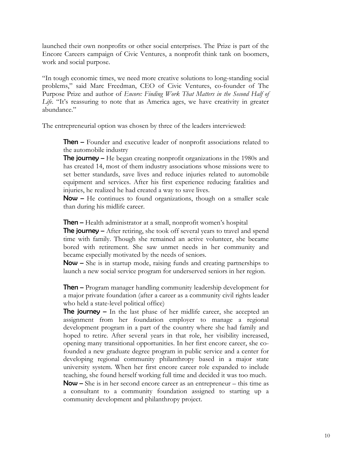launched their own nonprofits or other social enterprises. The Prize is part of the Encore Careers campaign of Civic Ventures, a nonprofit think tank on boomers, work and social purpose.

"In tough economic times, we need more creative solutions to long-standing social problems," said Marc Freedman, CEO of Civic Ventures, co-founder of The Purpose Prize and author of *Encore: Finding Work That Matters in the Second Half of Life*. "It's reassuring to note that as America ages, we have creativity in greater abundance."

The entrepreneurial option was chosen by three of the leaders interviewed:

Then **–** Founder and executive leader of nonprofit associations related to the automobile industry

The journey **–** He began creating nonprofit organizations in the 1980s and has created 14, most of them industry associations whose missions were to set better standards, save lives and reduce injuries related to automobile equipment and services. After his first experience reducing fatalities and injuries, he realized he had created a way to save lives.

Now **–** He continues to found organizations, though on a smaller scale than during his midlife career.

Then **–** Health administrator at a small, nonprofit women's hospital

The journey **–** After retiring, she took off several years to travel and spend time with family. Though she remained an active volunteer, she became bored with retirement. She saw unmet needs in her community and became especially motivated by the needs of seniors.

Now **–** She is in startup mode, raising funds and creating partnerships to launch a new social service program for underserved seniors in her region.

Then **–** Program manager handling community leadership development for a major private foundation (after a career as a community civil rights leader who held a state-level political office)

The journey **–** In the last phase of her midlife career, she accepted an assignment from her foundation employer to manage a regional development program in a part of the country where she had family and hoped to retire. After several years in that role, her visibility increased, opening many transitional opportunities. In her first encore career, she cofounded a new graduate degree program in public service and a center for developing regional community philanthropy based in a major state university system. When her first encore career role expanded to include teaching, she found herself working full time and decided it was too much.

Now **–** She is in her second encore career as an entrepreneur – this time as a consultant to a community foundation assigned to starting up a community development and philanthropy project.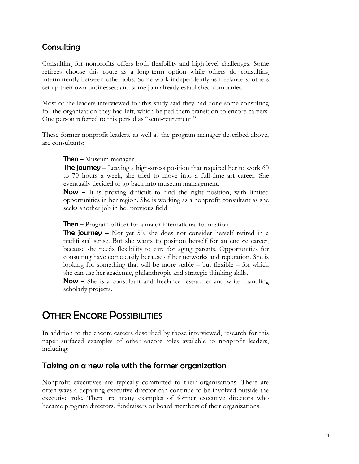#### **Consulting**

Consulting for nonprofits offers both flexibility and high-level challenges. Some retirees choose this route as a long-term option while others do consulting intermittently between other jobs. Some work independently as freelancers; others set up their own businesses; and some join already established companies.

Most of the leaders interviewed for this study said they had done some consulting for the organization they had left, which helped them transition to encore careers. One person referred to this period as "semi-retirement."

These former nonprofit leaders, as well as the program manager described above, are consultants:

Then **–** Museum manager

The journey **–** Leaving a high-stress position that required her to work 60 to 70 hours a week, she tried to move into a full-time art career. She eventually decided to go back into museum management.

Now **–** It is proving difficult to find the right position, with limited opportunities in her region. She is working as a nonprofit consultant as she seeks another job in her previous field.

Then **–** Program officer for a major international foundation

The journey **–** Not yet 50, she does not consider herself retired in a traditional sense. But she wants to position herself for an encore career, because she needs flexibility to care for aging parents. Opportunities for consulting have come easily because of her networks and reputation. She is looking for something that will be more stable – but flexible – for which she can use her academic, philanthropic and strategic thinking skills.

Now **–** She is a consultant and freelance researcher and writer handling scholarly projects.

## **OTHER ENCORE POSSIBILITIES**

In addition to the encore careers described by those interviewed, research for this paper surfaced examples of other encore roles available to nonprofit leaders, including:

#### Taking on a new role with the former organization

Nonprofit executives are typically committed to their organizations. There are often ways a departing executive director can continue to be involved outside the executive role. There are many examples of former executive directors who became program directors, fundraisers or board members of their organizations.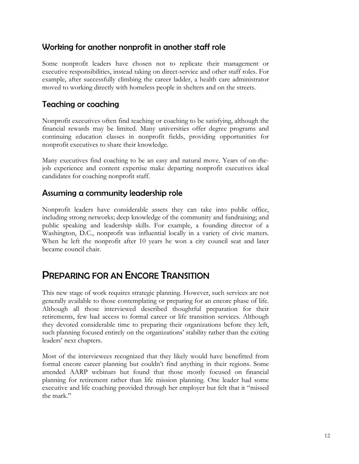#### Working for another nonprofit in another staff role

Some nonprofit leaders have chosen not to replicate their management or executive responsibilities, instead taking on direct-service and other staff roles. For example, after successfully climbing the career ladder, a health care administrator moved to working directly with homeless people in shelters and on the streets.

#### Teaching or coaching

Nonprofit executives often find teaching or coaching to be satisfying, although the financial rewards may be limited. Many universities offer degree programs and continuing education classes in nonprofit fields, providing opportunities for nonprofit executives to share their knowledge.

Many executives find coaching to be an easy and natural move. Years of on-thejob experience and content expertise make departing nonprofit executives ideal candidates for coaching nonprofit staff.

#### Assuming a community leadership role

Nonprofit leaders have considerable assets they can take into public office, including strong networks; deep knowledge of the community and fundraising; and public speaking and leadership skills. For example, a founding director of a Washington, D.C., nonprofit was influential locally in a variety of civic matters. When he left the nonprofit after 10 years he won a city council seat and later became council chair.

## PREPARING FOR AN ENCORE TRANSITION

This new stage of work requires strategic planning. However, such services are not generally available to those contemplating or preparing for an encore phase of life. Although all those interviewed described thoughtful preparation for their retirements, few had access to formal career or life transition services. Although they devoted considerable time to preparing their organizations before they left, such planning focused entirely on the organizations' stability rather than the exiting leaders' next chapters.

Most of the interviewees recognized that they likely would have benefitted from formal encore career planning but couldn't find anything in their regions. Some attended AARP webinars but found that those mostly focused on financial planning for retirement rather than life mission planning. One leader had some executive and life coaching provided through her employer but felt that it "missed the mark."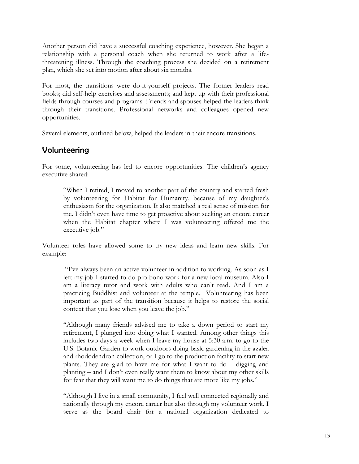Another person did have a successful coaching experience, however. She began a relationship with a personal coach when she returned to work after a lifethreatening illness. Through the coaching process she decided on a retirement plan, which she set into motion after about six months.

For most, the transitions were do-it-yourself projects. The former leaders read books; did self-help exercises and assessments; and kept up with their professional fields through courses and programs. Friends and spouses helped the leaders think through their transitions. Professional networks and colleagues opened new opportunities.

Several elements, outlined below, helped the leaders in their encore transitions.

#### Volunteering

For some, volunteering has led to encore opportunities. The children's agency executive shared:

"When I retired, I moved to another part of the country and started fresh by volunteering for Habitat for Humanity, because of my daughter's enthusiasm for the organization. It also matched a real sense of mission for me. I didn't even have time to get proactive about seeking an encore career when the Habitat chapter where I was volunteering offered me the executive job."

Volunteer roles have allowed some to try new ideas and learn new skills. For example:

 "I've always been an active volunteer in addition to working. As soon as I left my job I started to do pro bono work for a new local museum. Also I am a literacy tutor and work with adults who can't read. And I am a practicing Buddhist and volunteer at the temple. Volunteering has been important as part of the transition because it helps to restore the social context that you lose when you leave the job."

"Although many friends advised me to take a down period to start my retirement, I plunged into doing what I wanted. Among other things this includes two days a week when I leave my house at 5:30 a.m. to go to the U.S. Botanic Garden to work outdoors doing basic gardening in the azalea and rhododendron collection, or I go to the production facility to start new plants. They are glad to have me for what I want to do – digging and planting – and I don't even really want them to know about my other skills for fear that they will want me to do things that are more like my jobs."

"Although I live in a small community, I feel well connected regionally and nationally through my encore career but also through my volunteer work. I serve as the board chair for a national organization dedicated to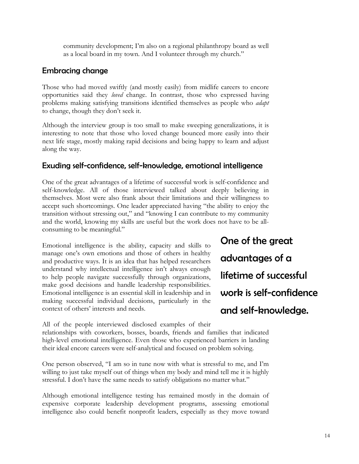community development; I'm also on a regional philanthropy board as well as a local board in my town. And I volunteer through my church."

#### Embracing change

Those who had moved swiftly (and mostly easily) from midlife careers to encore opportunities said they *loved* change. In contrast, those who expressed having problems making satisfying transitions identified themselves as people who *adapt* to change, though they don't seek it.

Although the interview group is too small to make sweeping generalizations, it is interesting to note that those who loved change bounced more easily into their next life stage, mostly making rapid decisions and being happy to learn and adjust along the way.

#### Exuding self-confidence, self-knowledge, emotional intelligence

One of the great advantages of a lifetime of successful work is self-confidence and self-knowledge. All of those interviewed talked about deeply believing in themselves. Most were also frank about their limitations and their willingness to accept such shortcomings. One leader appreciated having "the ability to enjoy the transition without stressing out," and "knowing I can contribute to my community and the world, knowing my skills are useful but the work does not have to be allconsuming to be meaningful."

Emotional intelligence is the ability, capacity and skills to manage one's own emotions and those of others in healthy and productive ways. It is an idea that has helped researchers understand why intellectual intelligence isn't always enough to help people navigate successfully through organizations, make good decisions and handle leadership responsibilities. Emotional intelligence is an essential skill in leadership and in making successful individual decisions, particularly in the context of others' interests and needs.

One of the great advantages of a lifetime of successful work is self-confidence and self-knowledge.

All of the people interviewed disclosed examples of their relationships with coworkers, bosses, boards, friends and families that indicated high-level emotional intelligence. Even those who experienced barriers in landing their ideal encore careers were self-analytical and focused on problem solving.

One person observed, "I am so in tune now with what is stressful to me, and I'm willing to just take myself out of things when my body and mind tell me it is highly stressful. I don't have the same needs to satisfy obligations no matter what."

Although emotional intelligence testing has remained mostly in the domain of expensive corporate leadership development programs, assessing emotional intelligence also could benefit nonprofit leaders, especially as they move toward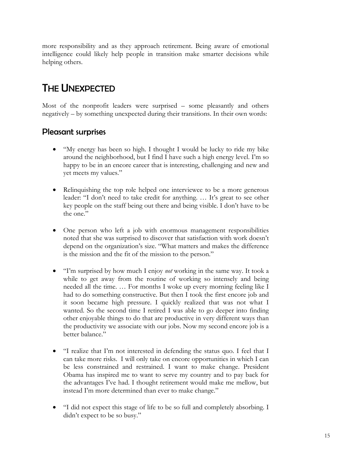more responsibility and as they approach retirement. Being aware of emotional intelligence could likely help people in transition make smarter decisions while helping others.

# THE UNEXPECTED

Most of the nonprofit leaders were surprised – some pleasantly and others negatively – by something unexpected during their transitions. In their own words:

#### Pleasant surprises

- "My energy has been so high. I thought I would be lucky to ride my bike around the neighborhood, but I find I have such a high energy level. I'm so happy to be in an encore career that is interesting, challenging and new and yet meets my values."
- Relinquishing the top role helped one interviewee to be a more generous leader: "I don't need to take credit for anything. … It's great to see other key people on the staff being out there and being visible. I don't have to be the one."
- One person who left a job with enormous management responsibilities noted that she was surprised to discover that satisfaction with work doesn't depend on the organization's size. "What matters and makes the difference is the mission and the fit of the mission to the person."
- "I'm surprised by how much I enjoy *not* working in the same way. It took a while to get away from the routine of working so intensely and being needed all the time. … For months I woke up every morning feeling like I had to do something constructive. But then I took the first encore job and it soon became high pressure. I quickly realized that was not what I wanted. So the second time I retired I was able to go deeper into finding other enjoyable things to do that are productive in very different ways than the productivity we associate with our jobs. Now my second encore job is a better balance."
- "I realize that I'm not interested in defending the status quo. I feel that I can take more risks. I will only take on encore opportunities in which I can be less constrained and restrained. I want to make change. President Obama has inspired me to want to serve my country and to pay back for the advantages I've had. I thought retirement would make me mellow, but instead I'm more determined than ever to make change."
- "I did not expect this stage of life to be so full and completely absorbing. I didn't expect to be so busy."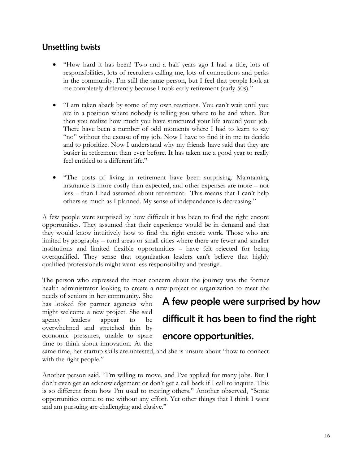#### Unsettling twists

- "How hard it has been! Two and a half years ago I had a title, lots of responsibilities, lots of recruiters calling me, lots of connections and perks in the community. I'm still the same person, but I feel that people look at me completely differently because I took early retirement (early 50s)."
- "I am taken aback by some of my own reactions. You can't wait until you are in a position where nobody is telling you where to be and when. But then you realize how much you have structured your life around your job. There have been a number of odd moments where I had to learn to say "no" without the excuse of my job. Now I have to find it in me to decide and to prioritize. Now I understand why my friends have said that they are busier in retirement than ever before. It has taken me a good year to really feel entitled to a different life."
- "The costs of living in retirement have been surprising. Maintaining insurance is more costly than expected, and other expenses are more – not less – than I had assumed about retirement. This means that I can't help others as much as I planned. My sense of independence is decreasing."

A few people were surprised by how difficult it has been to find the right encore opportunities. They assumed that their experience would be in demand and that they would know intuitively how to find the right encore work. Those who are limited by geography – rural areas or small cities where there are fewer and smaller institutions and limited flexible opportunities – have felt rejected for being overqualified. They sense that organization leaders can't believe that highly qualified professionals might want less responsibility and prestige.

The person who expressed the most concern about the journey was the former health administrator looking to create a new project or organization to meet the

needs of seniors in her community. She has looked for partner agencies who might welcome a new project. She said agency leaders appear to be overwhelmed and stretched thin by economic pressures, unable to spare time to think about innovation. At the

# A few people were surprised by how difficult it has been to find the right encore opportunities.

same time, her startup skills are untested, and she is unsure about "how to connect with the right people."

Another person said, "I'm willing to move, and I've applied for many jobs. But I don't even get an acknowledgement or don't get a call back if I call to inquire. This is so different from how I'm used to treating others." Another observed, "Some opportunities come to me without any effort. Yet other things that I think I want and am pursuing are challenging and elusive."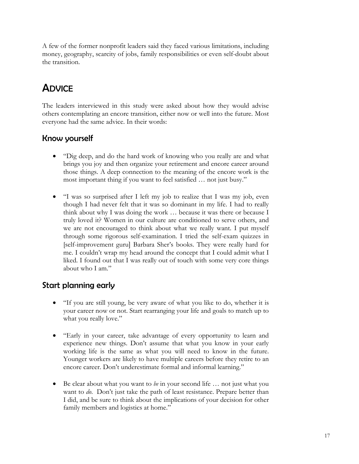A few of the former nonprofit leaders said they faced various limitations, including money, geography, scarcity of jobs, family responsibilities or even self-doubt about the transition.

# **ADVICE**

The leaders interviewed in this study were asked about how they would advise others contemplating an encore transition, either now or well into the future. Most everyone had the same advice. In their words:

#### Know yourself

- "Dig deep, and do the hard work of knowing who you really are and what brings you joy and then organize your retirement and encore career around those things. A deep connection to the meaning of the encore work is the most important thing if you want to feel satisfied … not just busy."
- "I was so surprised after I left my job to realize that I was my job, even though I had never felt that it was so dominant in my life. I had to really think about why I was doing the work … because it was there or because I truly loved it? Women in our culture are conditioned to serve others, and we are not encouraged to think about what we really want. I put myself through some rigorous self-examination. I tried the self-exam quizzes in [self-improvement guru] Barbara Sher's books. They were really hard for me. I couldn't wrap my head around the concept that I could admit what I liked. I found out that I was really out of touch with some very core things about who I am."

#### Start planning early

- "If you are still young, be very aware of what you like to do, whether it is your career now or not. Start rearranging your life and goals to match up to what you really love."
- "Early in your career, take advantage of every opportunity to learn and experience new things. Don't assume that what you know in your early working life is the same as what you will need to know in the future. Younger workers are likely to have multiple careers before they retire to an encore career. Don't underestimate formal and informal learning."
- Be clear about what you want to *be* in your second life … not just what you want to *do*. Don't just take the path of least resistance. Prepare better than I did, and be sure to think about the implications of your decision for other family members and logistics at home."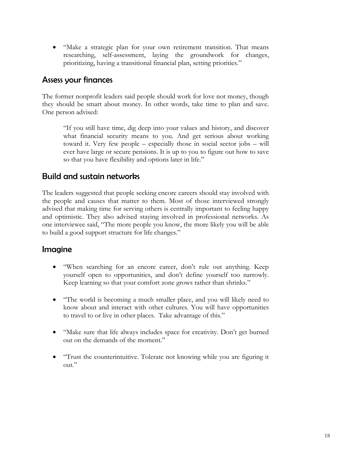"Make a strategic plan for your own retirement transition. That means researching, self-assessment, laying the groundwork for changes, prioritizing, having a transitional financial plan, setting priorities."

#### Assess your finances

The former nonprofit leaders said people should work for love not money, though they should be smart about money. In other words, take time to plan and save. One person advised:

"If you still have time, dig deep into your values and history, and discover what financial security means to you. And get serious about working toward it. Very few people – especially those in social sector jobs – will ever have large or secure pensions. It is up to you to figure out how to save so that you have flexibility and options later in life."

#### Build and sustain networks

The leaders suggested that people seeking encore careers should stay involved with the people and causes that matter to them. Most of those interviewed strongly advised that making time for serving others is centrally important to feeling happy and optimistic. They also advised staying involved in professional networks. As one interviewee said, "The more people you know, the more likely you will be able to build a good support structure for life changes."

#### Imagine

- "When searching for an encore career, don't rule out anything. Keep yourself open to opportunities, and don't define yourself too narrowly. Keep learning so that your comfort zone grows rather than shrinks."
- "The world is becoming a much smaller place, and you will likely need to know about and interact with other cultures. You will have opportunities to travel to or live in other places. Take advantage of this."
- "Make sure that life always includes space for creativity. Don't get burned out on the demands of the moment."
- "Trust the counterintuitive. Tolerate not knowing while you are figuring it out."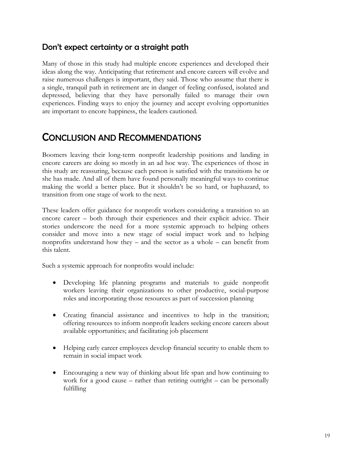#### Don't expect certainty or a straight path

Many of those in this study had multiple encore experiences and developed their ideas along the way. Anticipating that retirement and encore careers will evolve and raise numerous challenges is important, they said. Those who assume that there is a single, tranquil path in retirement are in danger of feeling confused, isolated and depressed, believing that they have personally failed to manage their own experiences. Finding ways to enjoy the journey and accept evolving opportunities are important to encore happiness, the leaders cautioned.

# CONCLUSION AND RECOMMENDATIONS

Boomers leaving their long-term nonprofit leadership positions and landing in encore careers are doing so mostly in an ad hoc way. The experiences of those in this study are reassuring, because each person is satisfied with the transitions he or she has made. And all of them have found personally meaningful ways to continue making the world a better place. But it shouldn't be so hard, or haphazard, to transition from one stage of work to the next.

These leaders offer guidance for nonprofit workers considering a transition to an encore career – both through their experiences and their explicit advice. Their stories underscore the need for a more systemic approach to helping others consider and move into a new stage of social impact work and to helping nonprofits understand how they – and the sector as a whole – can benefit from this talent.

Such a systemic approach for nonprofits would include:

- Developing life planning programs and materials to guide nonprofit workers leaving their organizations to other productive, social-purpose roles and incorporating those resources as part of succession planning
- Creating financial assistance and incentives to help in the transition; offering resources to inform nonprofit leaders seeking encore careers about available opportunities; and facilitating job placement
- Helping early career employees develop financial security to enable them to remain in social impact work
- Encouraging a new way of thinking about life span and how continuing to work for a good cause – rather than retiring outright – can be personally fulfilling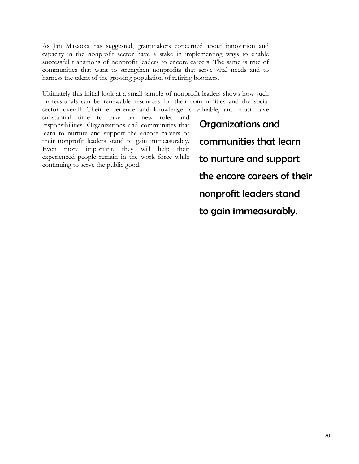As Jan Masaoka has suggested, grantmakers concerned about innovation and capacity in the nonprofit sector have a stake in implementing ways to enable successful transitions of nonprofit leaders to encore careers. The same is true of communities that want to strengthen nonprofits that serve vital needs and to harness the talent of the growing population of retiring boomers.

Ultimately this initial look at a small sample of nonprofit leaders shows how such professionals can be renewable resources for their communities and the social sector overall. Their experience and knowledge is valuable, and most have

substantial time to take on new roles and responsibilities. Organizations and communities that learn to nurture and support the encore careers of their nonprofit leaders stand to gain immeasurably. Even more important, they will help their experienced people remain in the work force while continuing to serve the public good.

Organizations and communities that learn to nurture and support the encore careers of their nonprofit leaders stand to gain immeasurably.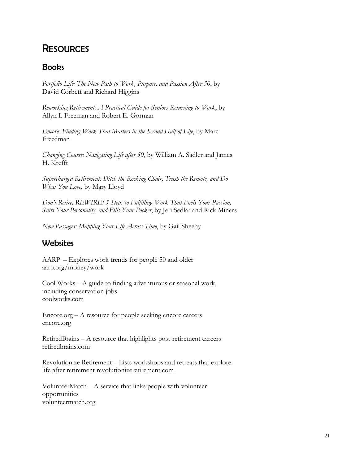# **RESOURCES**

#### **Books**

*Portfolio Life: The New Path to Work, Purpose, and Passion After 50*, by David Corbett and Richard Higgins

*Reworking Retirement: A Practical Guide for Seniors Returning to Work*, by Allyn I. Freeman and Robert E. Gorman

*Encore: Finding Work That Matters in the Second Half of Life*, by Marc Freedman

*Changing Course: Navigating Life after 50*, by William A. Sadler and James H. Krefft

*Supercharged Retirement: Ditch the Rocking Chair, Trash the Remote, and Do What You Love*, by Mary Lloyd

*Don't Retire, REWIRE! 5 Steps to Fulfilling Work That Fuels Your Passion, Suits Your Personality, and Fills Your Pocket*, by Jeri Sedlar and Rick Miners

*New Passages: Mapping Your Life Across Time*, by Gail Sheehy

#### Websites

AARP – Explores work trends for people 50 and older aarp.org/money/work

Cool Works – A guide to finding adventurous or seasonal work, including conservation jobs coolworks.com

Encore.org – A resource for people seeking encore careers encore.org

RetiredBrains – A resource that highlights post-retirement careers retiredbrains.com

Revolutionize Retirement – Lists workshops and retreats that explore life after retirement revolutionizeretirement.com

VolunteerMatch – A service that links people with volunteer opportunities volunteermatch.org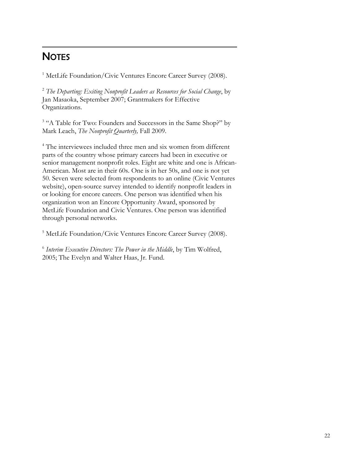#### <span id="page-21-0"></span> $\overline{a}$ **NOTES**

<sup>1</sup> MetLife Foundation/Civic Ventures Encore Career Survey (2008).

<sup>2</sup> *The Departing: Exiting Nonprofit Leaders as Resources for Social Change*, by Jan Masaoka, September 2007; Grantmakers for Effective Organizations.

<sup>3</sup> "A Table for Two: Founders and Successors in the Same Shop?" by Mark Leach, *The Nonprofit Quarterly,* Fall 2009.

4 The interviewees included three men and six women from different parts of the country whose primary careers had been in executive or senior management nonprofit roles. Eight are white and one is African-American. Most are in their 60s. One is in her 50s, and one is not yet 50. Seven were selected from respondents to an online (Civic Ventures website), open-source survey intended to identify nonprofit leaders in or looking for encore careers. One person was identified when his organization won an Encore Opportunity Award, sponsored by MetLife Foundation and Civic Ventures. One person was identified through personal networks.

<sup>5</sup> MetLife Foundation/Civic Ventures Encore Career Survey (2008).

<span id="page-21-1"></span><sup>6</sup> *Interim Executive Directors: The Power in the Middle*, by Tim Wolfred, 2005; The Evelyn and Walter Haas, Jr. Fund.